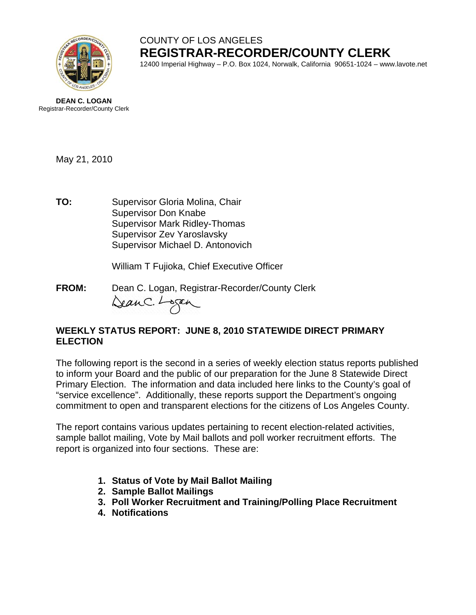

# COUNTY OF LOS ANGELES **REGISTRAR-RECORDER/COUNTY CLERK**

12400 Imperial Highway – P.O. Box 1024, Norwalk, California 90651-1024 – www.lavote.net



May 21, 2010

**TO:** Supervisor Gloria Molina, Chair Supervisor Don Knabe Supervisor Mark Ridley-Thomas Supervisor Zev Yaroslavsky Supervisor Michael D. Antonovich

William T Fujioka, Chief Executive Officer

**FROM:** Dean C. Logan, Registrar-Recorder/County Clerk<br>Can C. Lagan

### **WEEKLY STATUS REPORT: JUNE 8, 2010 STATEWIDE DIRECT PRIMARY ELECTION**

The following report is the second in a series of weekly election status reports published to inform your Board and the public of our preparation for the June 8 Statewide Direct Primary Election. The information and data included here links to the County's goal of "service excellence". Additionally, these reports support the Department's ongoing commitment to open and transparent elections for the citizens of Los Angeles County.

The report contains various updates pertaining to recent election-related activities, sample ballot mailing, Vote by Mail ballots and poll worker recruitment efforts. The report is organized into four sections. These are:

- **1. Status of Vote by Mail Ballot Mailing**
- **2. Sample Ballot Mailings**
- **3. Poll Worker Recruitment and Training/Polling Place Recruitment**
- **4. Notifications**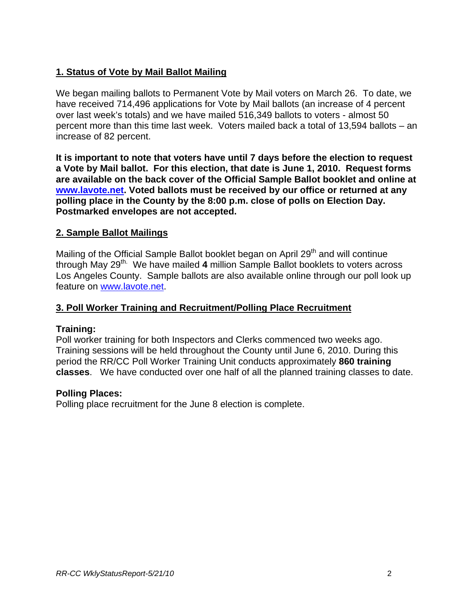# **1. Status of Vote by Mail Ballot Mailing**

We began mailing ballots to Permanent Vote by Mail voters on March 26. To date, we have received 714,496 applications for Vote by Mail ballots (an increase of 4 percent over last week's totals) and we have mailed 516,349 ballots to voters - almost 50 percent more than this time last week. Voters mailed back a total of 13,594 ballots – an increase of 82 percent.

**It is important to note that voters have until 7 days before the election to request a Vote by Mail ballot. For this election, that date is June 1, 2010. Request forms are available on the back cover of the Official Sample Ballot booklet and online at [www.lavote.net](http://www.lavote.net/). Voted ballots must be received by our office or returned at any polling place in the County by the 8:00 p.m. close of polls on Election Day. Postmarked envelopes are not accepted.** 

### **2. Sample Ballot Mailings**

Mailing of the Official Sample Ballot booklet began on April  $29<sup>th</sup>$  and will continue through May 29<sup>th.</sup> We have mailed 4 million Sample Ballot booklets to voters across Los Angeles County. Sample ballots are also available online through our poll look up feature on [www.lavote.net.](http://www.lavote.net/)

#### **3. Poll Worker Training and Recruitment/Polling Place Recruitment**

#### **Training:**

Poll worker training for both Inspectors and Clerks commenced two weeks ago. Training sessions will be held throughout the County until June 6, 2010. During this period the RR/CC Poll Worker Training Unit conducts approximately **860 training classes**. We have conducted over one half of all the planned training classes to date.

#### **Polling Places:**

Polling place recruitment for the June 8 election is complete.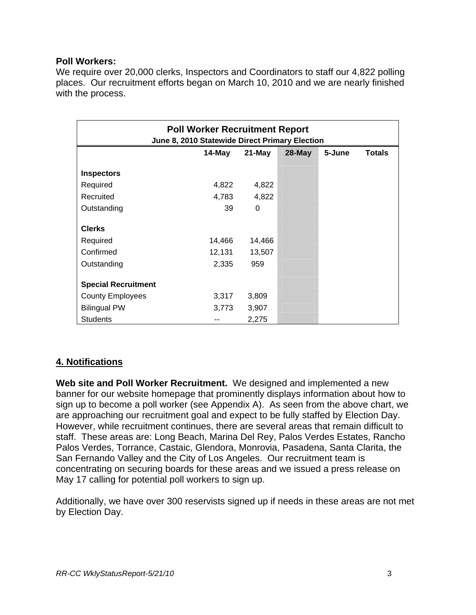#### **Poll Workers:**

We require over 20,000 clerks, Inspectors and Coordinators to staff our 4,822 polling places. Our recruitment efforts began on March 10, 2010 and we are nearly finished with the process.

| <b>Poll Worker Recruitment Report</b><br>June 8, 2010 Statewide Direct Primary Election |        |        |           |        |               |
|-----------------------------------------------------------------------------------------|--------|--------|-----------|--------|---------------|
|                                                                                         | 14-May | 21-May | $28$ -May | 5-June | <b>Totals</b> |
| <b>Inspectors</b>                                                                       |        |        |           |        |               |
| Required                                                                                | 4,822  | 4,822  |           |        |               |
| Recruited                                                                               | 4,783  | 4,822  |           |        |               |
| Outstanding                                                                             | 39     | 0      |           |        |               |
| <b>Clerks</b>                                                                           |        |        |           |        |               |
| Required                                                                                | 14,466 | 14,466 |           |        |               |
| Confirmed                                                                               | 12,131 | 13,507 |           |        |               |
| Outstanding                                                                             | 2,335  | 959    |           |        |               |
| <b>Special Recruitment</b>                                                              |        |        |           |        |               |
| <b>County Employees</b>                                                                 | 3,317  | 3,809  |           |        |               |
| <b>Bilingual PW</b>                                                                     | 3,773  | 3,907  |           |        |               |
| <b>Students</b>                                                                         |        | 2,275  |           |        |               |

## **4. Notifications**

**Web site and Poll Worker Recruitment.** We designed and implemented a new banner for our website homepage that prominently displays information about how to sign up to become a poll worker (see Appendix A). As seen from the above chart, we are approaching our recruitment goal and expect to be fully staffed by Election Day. However, while recruitment continues, there are several areas that remain difficult to staff. These areas are: Long Beach, Marina Del Rey, Palos Verdes Estates, Rancho Palos Verdes, Torrance, Castaic, Glendora, Monrovia, Pasadena, Santa Clarita, the San Fernando Valley and the City of Los Angeles. Our recruitment team is concentrating on securing boards for these areas and we issued a press release on May 17 calling for potential poll workers to sign up.

Additionally, we have over 300 reservists signed up if needs in these areas are not met by Election Day.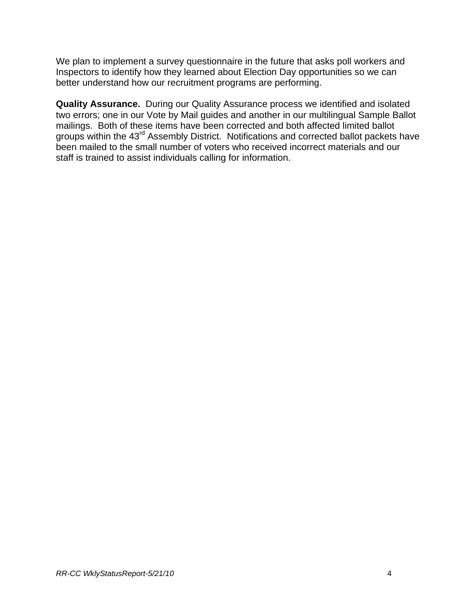We plan to implement a survey questionnaire in the future that asks poll workers and Inspectors to identify how they learned about Election Day opportunities so we can better understand how our recruitment programs are performing.

**Quality Assurance.** During our Quality Assurance process we identified and isolated two errors; one in our Vote by Mail guides and another in our multilingual Sample Ballot mailings. Both of these items have been corrected and both affected limited ballot groups within the 43<sup>rd</sup> Assembly District. Notifications and corrected ballot packets have been mailed to the small number of voters who received incorrect materials and our staff is trained to assist individuals calling for information.